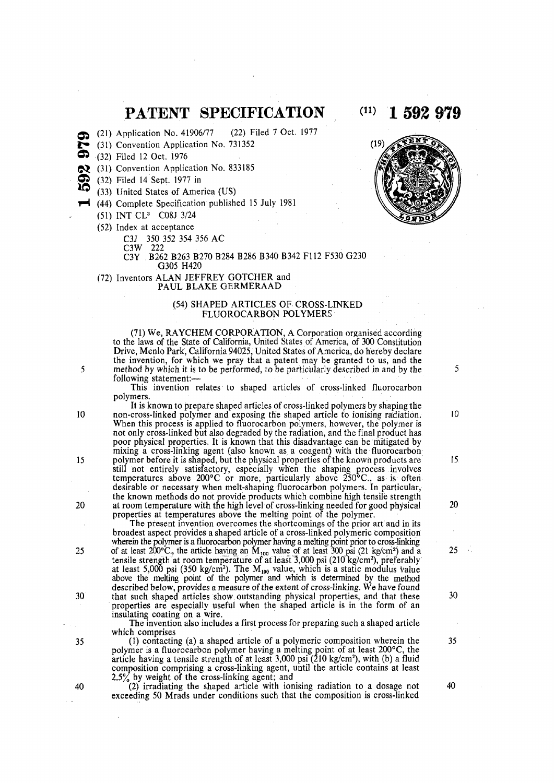# **PATENT SPECIFICATION (11) 1 592 979**

- (21) Application No. 41906/77 (22) Filed 7 Oct. 1977
- (31) Convention Application No. 731352
- (32) Filed 12 Oct. 1976
- (31) Convention Application No. 833185
- (32) Filed 14 Sept. 1977 in
- (33) United States of America (US)
- **t H** (44) Complete Specification published 15 July 1981
	- (51) INT CL<sup>3</sup> C08J 3/24
	- (52) Index at acceptance
		- C3J 350 352 354 356 AC

C3W 222

C3Y B262 B263 B270 B284 B286 B340 B342 F112 F530 G230

G305 H420 (72) Inventors ALAN JEFFREY GOTCHER and

PAUL BLAKE GERMERAAD

# (54) SHAPED ARTICLES OF CROSS-LINKED FLUOROCARBON POLYMERS

(71) We, RAYCHEM CORPORATION, A Corporation organised according to the laws of the State of California, United States of America, of 300 Constitution Drive, Menlo Park, California 94025, United States of America, do hereby declare the invention, for which we pray that a patent may be granted to us, and the 5 method by which it is to be performed, to be particularly described in and by the  $5$ following statement:—

This invention relates to shaped articles of cross-linked fluorocarbon polymers.

It is known to prepare shaped articles of cross-linked polymers by shaping the 10 non-cross-linked polymer and exposing the shaped article to ionising radiation. 10 When this process is applied to fluorocarbon polymers, however, the polymer is not only cross-linked but also degraded by the radiation, and the final product has poor physical properties. It is known that this disadvantage can be mitigated by mixing a cross-linking agent (also known as a coagent) with the fluorocarbon 15 polymer before it is shaped, but the physical properties of the known products are 15 still not entirely satisfactory, especially when the shaping process involves temperatures above 200°C or more, particularly above 250°C., as is often desirable or necessary when melt-shaping fluorocarbon polymers. In particular, the known methods do not provide products which combine high tensile strength 20 at room temperature with the high level of cross-linking needed for good physical 20 properties at temperatures above the melting point of the polymer.

The present invention overcomes the shortcomings of the prior art and in its broadest aspect provides a shaped article of a cross-linked polymeric composition wherein the polymer is a fluorocarbon polymer having a melting point prior to cross-linking 25 of at least  $200^{\circ}$ C., the article having an  $\dot{M}_{100}$  value of at least 300 psi (21 kg/cm<sup>2</sup>) and a 25 tensile strength at room temperature of at least 3,000 psi (210 kg/cm<sup>2</sup> ), preferably at least 5,000 psi (350 kg/cm<sup>2</sup>). The M<sub>100</sub> value, which is a static modulus value above the melting point of the polymer and which is determined by the method described below, provides a measure of the extent of cross-linking. We have found 30 that such shaped articles show outstanding physical properties, and that these 30 properties are especially useful when the shaped article is in the form of an

insulating coating on a wire. The invention also includes a first process for preparing such a shaped article which comprises

35 (1) contacting (a) a shaped article of a polymeric composition wherein the 35 polymer is a fluorocarbon polymer having a melting point of at least 200°C, the article having a tensile strength of at least 3,000 psi (210 kg/cm<sup>2</sup> ), with (b) a fluid composition comprising a cross-linking agent, until the article contains at least 2.5% by weight of the cross-linking agent; and

40 (2) irradiating the shaped article with ionising radiation to a dosage not 40 exceeding 50 Mrads under conditions such that the composition is cross-linked



÷.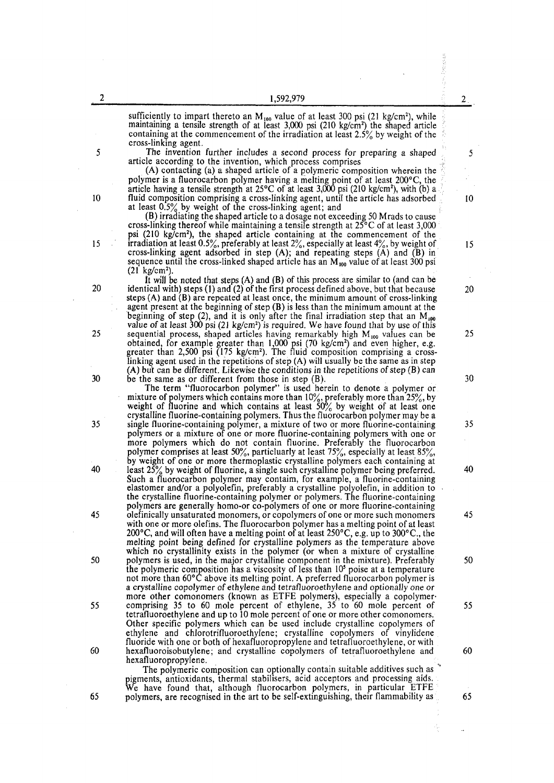| 2                              | 1,592,979                                                                                                                                                                                                                                                                                                                                                                                                                                                                                                                                                      | $2_{\odot}$ |
|--------------------------------|----------------------------------------------------------------------------------------------------------------------------------------------------------------------------------------------------------------------------------------------------------------------------------------------------------------------------------------------------------------------------------------------------------------------------------------------------------------------------------------------------------------------------------------------------------------|-------------|
| cross-linking agent.           | sufficiently to impart thereto an $M_{100}$ value of at least 300 psi (21 kg/cm <sup>2</sup> ), while<br>maintaining a tensile strength of at least $3,000$ psi (210 kg/cm <sup>2</sup> ) the shaped article<br>containing at the commencement of the irradiation at least $2.5\%$ by weight of the                                                                                                                                                                                                                                                            |             |
| 5                              | The invention further includes a second process for preparing a shaped<br>article according to the invention, which process comprises                                                                                                                                                                                                                                                                                                                                                                                                                          | 5           |
|                                | (A) contacting (a) a shaped article of a polymeric composition wherein the<br>polymer is a fluorocarbon polymer having a melting point of at least $200^{\circ}$ C, the<br>article having a tensile strength at $25^{\circ}$ C of at least 3,000 psi (210 kg/cm <sup>2</sup> ), with (b) a                                                                                                                                                                                                                                                                     |             |
| 10                             | fluid composition comprising a cross-linking agent, until the article has adsorbed<br>at least $0.5\%$ by weight of the cross-linking agent; and                                                                                                                                                                                                                                                                                                                                                                                                               | 10          |
| 15                             | (B) irradiating the shaped article to a dosage not exceeding 50 Mrads to cause<br>cross-linking thereof while maintaining a tensile strength at $25^{\circ}$ C of at least 3,000<br>psi (210 kg/cm <sup>2</sup> ), the shaped article containing at the commencement of the<br>irradiation at least 0.5%, preferably at least $2\%$ , especially at least 4%, by weight of<br>cross-linking agent adsorbed in step $(A)$ ; and repeating steps $(A)$ and $(B)$ in<br>sequence until the cross-linked shaped article has an $M_{100}$ value of at least 300 psi | 15          |
| $(21 \text{ kg/cm}^2)$ .<br>20 | It will be noted that steps $(A)$ and $(B)$ of this process are similar to (and can be<br>identical with) steps (1) and (2) of the first process defined above, but that because<br>steps $(A)$ and $(B)$ are repeated at least once, the minimum amount of cross-linking<br>agent present at the beginning of step $(B)$ is less than the minimum amount at the                                                                                                                                                                                               | 20          |
| 25                             | beginning of step (2), and it is only after the final irradiation step that an $M_{100}$<br>value of at least 300 psi (21 kg/cm <sup>2</sup> ) is required. We have found that by use of this<br>sequential process, shaped articles having remarkably high $M_{100}$ values can be                                                                                                                                                                                                                                                                            | 25          |
|                                | obtained, for example greater than 1,000 psi (70 kg/cm <sup>2</sup> ) and even higher, e.g.<br>greater than $2,500$ psi (175 kg/cm <sup>2</sup> ). The fluid composition comprising a cross-<br>linking agent used in the repetitions of step $(A)$ will usually be the same as in step                                                                                                                                                                                                                                                                        |             |
| 30                             | $(A)$ but can be different. Likewise the conditions in the repetitions of step $(B)$ can<br>be the same as or different from those in step $(B)$ .<br>The term "fluorocarbon polymer" is used herein to denote a polymer or                                                                                                                                                                                                                                                                                                                                    | 30          |
| 35                             | mixture of polymers which contains more than $10\%$ , preferably more than $25\%$ , by<br>weight of fluorine and which contains at least 50% by weight of at least one<br>crystalline fluorine-containing polymers. Thus the fluorocarbon polymer may be a<br>single fluorine-containing polymer, a mixture of two or more fluorine-containing<br>polymers or a mixture of one or more fluorine-containing polymers with one or<br>more polymers which do not contain fluorine. Preferably the fluorocarbon                                                    | 35          |
| 40                             | polymer comprises at least 50%, particluarly at least $75%$ , especially at least $85%$ ,<br>by weight of one or more thermoplastic crystalline polymers each containing at<br>least $25\%$ by weight of fluorine, a single such crystalline polymer being preferred.<br>Such a fluorocarbon polymer may contaim, for example, a fluorine-containing<br>elastomer and/or a polyolefin, preferably a crystalline polyolefin, in addition to<br>the crystalline fluorine-containing polymer or polymers. The fluorine-containing                                 | 40          |
| 45                             | polymers are generally homo-or co-polymers of one or more fluorine-containing<br>olefinically unsaturated monomers, or copolymers of one or more such monomers<br>with one or more olefins. The fluorocarbon polymer has a melting point of at least<br>200 °C, and will often have a melting point of at least $250^{\circ}$ C, e.g. up to $300^{\circ}$ C., the<br>melting point being defined for crystalline polymers as the temperature above<br>which no crystallinity exists in the polymer (or when a mixture of crystalline                           | 45          |
| 50                             | polymers is used, in the major crystalline component in the mixture). Preferably<br>the polymeric composition has a viscosity of less than 10 <sup>5</sup> poise at a temperature<br>not more than 60°C above its melting point. A preferred fluorocarbon polymer is<br>a crystalline copolymer of ethylene and tetrafluoroethylene and optionally one or                                                                                                                                                                                                      | 50          |
| 55                             | more other comonomers (known as ETFE polymers), especially a copolymer-<br>comprising 35 to 60 mole percent of ethylene, 35 to 60 mole percent of<br>tetrafluoroethylene and up to 10 mole percent of one or more other comonomers.<br>Other specific polymers which can be used include crystalline copolymers of<br>ethylene and chlorotrifluoroethylene; crystalline copolymers of vinylidene                                                                                                                                                               | 55          |
| 60<br>hexafluoropropylene.     | fluoride with one or both of hexafluoropropylene and tetrafluoroethylene, or with<br>hexafluoroisobutylene; and crystalline copolymers of tetrafluoroethylene and<br>The polymeric composition can optionally contain suitable additives such as<br>pigments, antioxidants, thermal stabilisers, acid acceptors and processing aids.                                                                                                                                                                                                                           | 60          |
|                                | We have found that, although fluorocarbon polymers, in particular ETFE                                                                                                                                                                                                                                                                                                                                                                                                                                                                                         |             |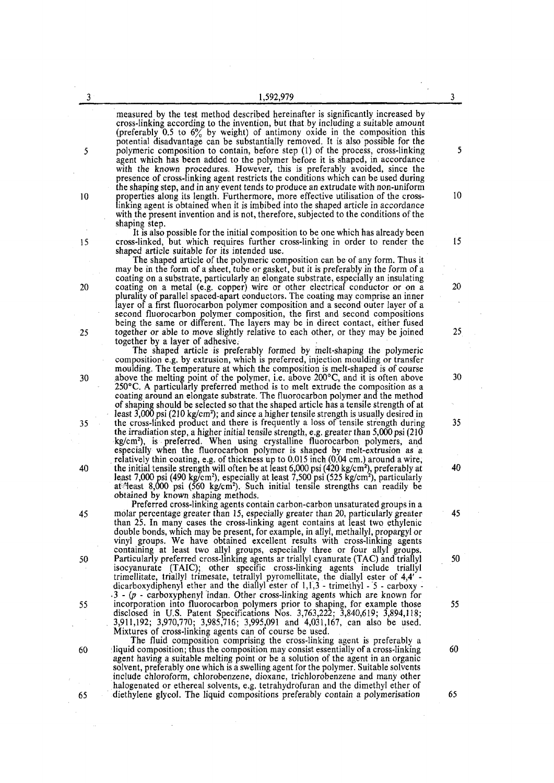| 3  | 1,592,979                                                                                                                                                                                                                                                                                                                                                                                                                                                                                  | 3  |
|----|--------------------------------------------------------------------------------------------------------------------------------------------------------------------------------------------------------------------------------------------------------------------------------------------------------------------------------------------------------------------------------------------------------------------------------------------------------------------------------------------|----|
| 5  | measured by the test method described hereinafter is significantly increased by<br>cross-linking according to the invention, but that by including a suitable amount<br>(preferably 0.5 to $6\%$ by weight) of antimony oxide in the composition this<br>potential disadvantage can be substantially removed. It is also possible for the<br>polymeric composition to contain, before step (1) of the process, cross-linking                                                               | 5  |
| 10 | agent which has been added to the polymer before it is shaped, in accordance<br>with the known procedures. However, this is preferably avoided, since the<br>presence of cross-linking agent restricts the conditions which can be used during<br>the shaping step, and in any event tends to produce an extrudate with non-uniform<br>properties along its length. Furthermore, more effective utilisation of the cross-                                                                  | 10 |
|    | linking agent is obtained when it is imbibed into the shaped article in accordance<br>with the present invention and is not, therefore, subjected to the conditions of the<br>shaping step.<br>It is also possible for the initial composition to be one which has already been                                                                                                                                                                                                            |    |
| 15 | cross-linked, but which requires further cross-linking in order to render the<br>shaped article suitable for its intended use.<br>The shaped article of the polymeric composition can be of any form. Thus it<br>may be in the form of a sheet, tube or gasket, but it is preferably in the form of a                                                                                                                                                                                      | 15 |
| 20 | coating on a substrate, particularly an elongate substrate, especially an insulating<br>coating on a metal (e.g. copper) wire or other electrical conductor or on a<br>plurality of parallel spaced-apart conductors. The coating may comprise an inner<br>layer of a first fluorocarbon polymer composition and a second outer layer of a<br>second fluorocarbon polymer composition, the first and second compositions                                                                   | 20 |
| 25 | being the same or different. The layers may be in direct contact, either fused<br>together or able to move slightly relative to each other, or they may be joined<br>together by a layer of adhesive.<br>The shaped article is preferably formed by melt-shaping the polymeric                                                                                                                                                                                                             | 25 |
| 30 | composition e.g. by extrusion, which is preferred, injection moulding or transfer<br>moulding. The temperature at which the composition is melt-shaped is of course<br>above the melting point of the polymer, i.e. above $200^{\circ}$ C, and it is often above<br>$250^{\circ}$ C. A particularly preferred method is to melt extrude the composition as a<br>coating around an elongate substrate. The fluorocarbon polymer and the method                                              | 30 |
| 35 | of shaping should be selected so that the shaped article has a tensile strength of at<br>least $3,000$ psi (210 kg/cm <sup>2</sup> ); and since a higher tensile strength is usually desired in<br>the cross-linked product and there is frequently a loss of tensile strength during<br>the irradiation step, a higher initial tensile strength, e.g. greater than 5,000 psi (210)                                                                                                        | 35 |
| 40 | kg/cm <sup>2</sup> ), is preferred. When using crystalline fluorocarbon polymers, and<br>especially when the fluorocarbon polymer is shaped by melt-extrusion as a<br>relatively thin coating, e.g. of thickness up to 0.015 inch (0.04 cm.) around a wire,<br>the initial tensile strength will often be at least $6,000$ psi $(420 \text{ kg/cm}^2)$ , preferably at<br>least 7,000 psi (490 kg/cm <sup>2</sup> ), especially at least 7,500 psi (525 kg/cm <sup>2</sup> ), particularly | 40 |
| 45 | at teast 8,000 psi (560 kg/cm <sup>2</sup> ). Such initial tensile strengths can readily be<br>obtained by known shaping methods.<br>Preferred cross-linking agents contain carbon-carbon unsaturated groups in a<br>molar percentage greater than 15, especially greater than 20, particularly greater                                                                                                                                                                                    | 45 |
|    | than 25. In many cases the cross-linking agent contains at least two ethylenic<br>double bonds, which may be present, for example, in allyl, methallyl, propargyl or<br>vinyl groups. We have obtained excellent results with cross-linking agents<br>containing at least two allyl groups, especially three or four allyl groups.                                                                                                                                                         |    |
| 50 | Particularly preferred cross-linking agents ar triallyl cyanurate (TAC) and triallyl<br>isocyanurate (TAIC); other specific cross-linking agents include trially<br>trimellitate, triallyl trimesate, tetrallyl pyromellitate, the diallyl ester of 4,4' -<br>dicarboxydiphenyl ether and the diallyl ester of $1,1,3$ - trimethyl - 5 - carboxy -<br>$\cdot$ 3 - (p - carboxyphenyl indan. Other cross-linking agents which are known for                                                 | 50 |
| 55 | incorporation into fluorocarbon polymers prior to shaping, for example those<br>disclosed in U.S. Patent Specifications Nos. 3,763,222; 3,840,619; 3,894,118;<br>3,911,192; 3,970,770; 3,985,716; 3,995,091 and 4,031,167, can also be used.<br>Mixtures of cross-linking agents can of course be used.                                                                                                                                                                                    | 55 |
| 60 | The fluid composition comprising the cross-linking agent is preferably a<br>liquid composition; thus the composition may consist essentially of a cross-linking<br>agent having a suitable melting point or be a solution of the agent in an organic<br>solvent, preferably one which is a swelling agent for the polymer. Suitable solvents<br>include chloroform, chlorobenzene, dioxane, trichlorobenzene and many other                                                                | 60 |
| 65 | halogenated or ethereal solvents, e.g. tetrahydrofuran and the dimethyl ether of<br>diethylene glycol. The liquid compositions preferably contain a polymerisation                                                                                                                                                                                                                                                                                                                         | 65 |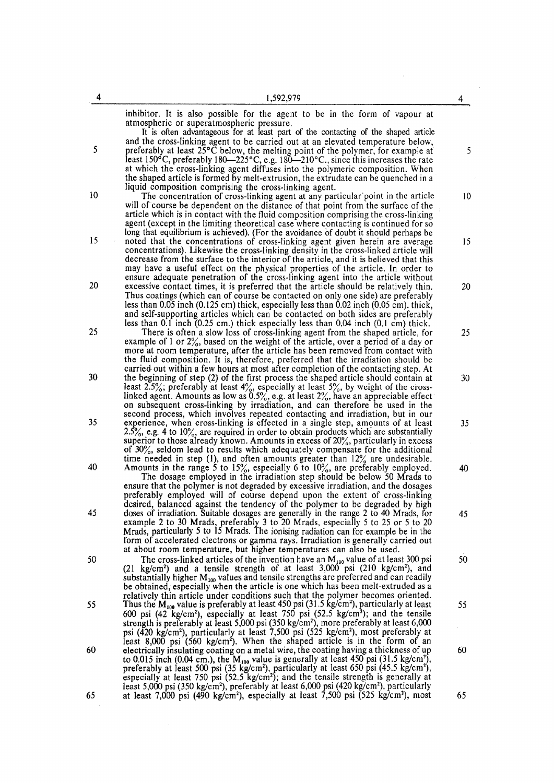| 4  | 1,592,979                                                                                                                                                                                                                                                                                                                                                                                                                                                                                                                                         | 4               |
|----|---------------------------------------------------------------------------------------------------------------------------------------------------------------------------------------------------------------------------------------------------------------------------------------------------------------------------------------------------------------------------------------------------------------------------------------------------------------------------------------------------------------------------------------------------|-----------------|
| 5  | inhibitor. It is also possible for the agent to be in the form of vapour at<br>atmospheric or superatmospheric pressure.<br>It is often advantageous for at least part of the contacting of the shaped article<br>and the cross-linking agent to be carried out at an elevated temperature below,<br>preferably at least $25^{\circ}$ C below, the melting point of the polymer, for example at                                                                                                                                                   | 5               |
|    | least 150°C, preferably 180—225°C, e.g. 180—210°C., since this increases the rate<br>at which the cross-linking agent diffuses into the polymeric composition. When<br>the shaped article is formed by melt-extrusion, the extrudate can be quenched in a<br>liquid composition comprising the cross-linking agent.                                                                                                                                                                                                                               |                 |
| 10 | The concentration of cross-linking agent at any particular point in the article<br>will of course be dependent on the distance of that point from the surface of the<br>article which is in contact with the fluid composition comprising the cross-linking<br>agent (except in the limiting theoretical case where contacting is continued for so<br>long that equilibrium is achieved). (For the avoidance of doubt it should perhaps be                                                                                                        | 10 <sup>°</sup> |
| 15 | noted that the concentrations of cross-linking agent given herein are average<br>concentrations). Likewise the cross-linking density in the cross-linked article will<br>decrease from the surface to the interior of the article, and it is believed that this<br>may have a useful effect on the physical properties of the article. In order to<br>ensure adequate penetration of the cross-linking agent into the article without                                                                                                             | 15              |
| 20 | excessive contact times, it is preferred that the article should be relatively thin.<br>Thus coatings (which can of course be contacted on only one side) are preferably<br>less than 0.05 inch $(0.125 \text{ cm})$ thick, especially less than 0.02 inch $(0.05 \text{ cm})$ . thick,<br>and self-supporting articles which can be contacted on both sides are preferably<br>less than 0.1 inch (0.25 cm.) thick especially less than 0.04 inch (0.1 cm) thick.                                                                                 | 20              |
| 25 | There is often a slow loss of cross-linking agent from the shaped article, for<br>example of 1 or $2\%$ , based on the weight of the article, over a period of a day or<br>more at room temperature, after the article has been removed from contact with<br>the fluid composition. It is, therefore, preferred that the irradiation should be<br>carried out within a few hours at most after completion of the contacting step. At                                                                                                              | 25              |
| 30 | the beginning of step (2) of the first process the shaped article should contain at<br>least 2.5%; preferably at least $4\%$ , especially at least $5\%$ , by weight of the cross-<br>linked agent. Amounts as low as $0.5\%$ , e.g. at least $2\%$ , have an appreciable effect<br>on subsequent cross-linking by irradiation, and can therefore be used in the<br>second process, which involves repeated contacting and irradiation, but in our                                                                                                | 30              |
| 35 | experience, when cross-linking is effected in a single step, amounts of at least<br>$2.5\%$ , e.g. 4 to 10%, are required in order to obtain products which are substantially<br>superior to those already known. Amounts in excess of $20\%$ , particularly in excess<br>of 30%, seldom lead to results which adequately compensate for the additional<br>time needed in step (1), and often amounts greater than $12\%$ are undesirable.                                                                                                        | 35              |
| 40 | Amounts in the range 5 to $15\%$ , especially 6 to $10\%$ , are preferably employed.<br>The dosage employed in the irradiation step should be below 50 Mrads to<br>ensure that the polymer is not degraded by excessive irradiation, and the dosages<br>preferably employed will of course depend upon the extent of cross-linking<br>desired, balanced against the tendency of the polymer to be degraded by high                                                                                                                                | 40              |
| 45 | doses of irradiation. Suitable dosages are generally in the range 2 to 40 Mrads, for<br>example 2 to 30 Mrads, preferably 3 to 20 Mrads, especially 5 to 25 or 5 to 20<br>Mrads, particularly 5 to 15 Mrads. The ionising radiation can for example be in the<br>form of accelerated electrons or gamma rays. Irradiation is generally carried out<br>at about room temperature, but higher temperatures can also be used.                                                                                                                        | 45              |
| 50 | The cross-linked articles of the invention have an $M_{100}$ value of at least 300 psi<br>$(21 \text{ kg/cm}^2)$ and a tensile strength of at least 3,000 psi $(210 \text{ kg/cm}^2)$ , and<br>substantially higher $M_{100}$ values and tensile strengths are preferred and can readily<br>be obtained, especially when the article is one which has been melt-extruded as a<br>relatively thin article under conditions such that the polymer becomes oriented.                                                                                 | 50              |
| 55 | Thus the $M_{100}$ value is preferably at least 450 psi (31.5 kg/cm <sup>2</sup> ), particularly at least<br>600 psi (42 kg/cm <sup>2</sup> ), especially at least 750 psi (52.5 kg/cm <sup>2</sup> ); and the tensile<br>strength is preferably at least 5,000 psi (350 kg/cm <sup>2</sup> ), more preferably at least 6,000<br>psi ( $\frac{420 \text{ kg/cm}^2}{2}$ , particularly at least 7,500 psi (525 kg/cm <sup>2</sup> ), most preferably at<br>least 8,000 psi (560 kg/cm <sup>2</sup> ). When the shaped article is in the form of an | 55              |
| 60 | electrically insulating coating on a metal wire, the coating having a thickness of up<br>to 0.015 inch (0.04 cm.), the $M_{100}$ value is generally at least 450 psi (31.5 kg/cm <sup>2</sup> ),<br>preferably at least 500 psi (35 kg/cm <sup>2</sup> ), particularly at least 650 psi (45.5 kg/cm <sup>2</sup> ),<br>especially at least 750 psi $(52.5 \text{ kg/cm}^2)$ ; and the tensile strength is generally at<br>least 5,000 psi (350 kg/cm <sup>2</sup> ), preferably at least 6,000 psi (420 kg/cm <sup>2</sup> ), particularly        | 60              |
| 65 | at least 7,000 psi (490 kg/cm <sup>2</sup> ), especially at least 7,500 psi (525 kg/cm <sup>2</sup> ), most                                                                                                                                                                                                                                                                                                                                                                                                                                       | 65              |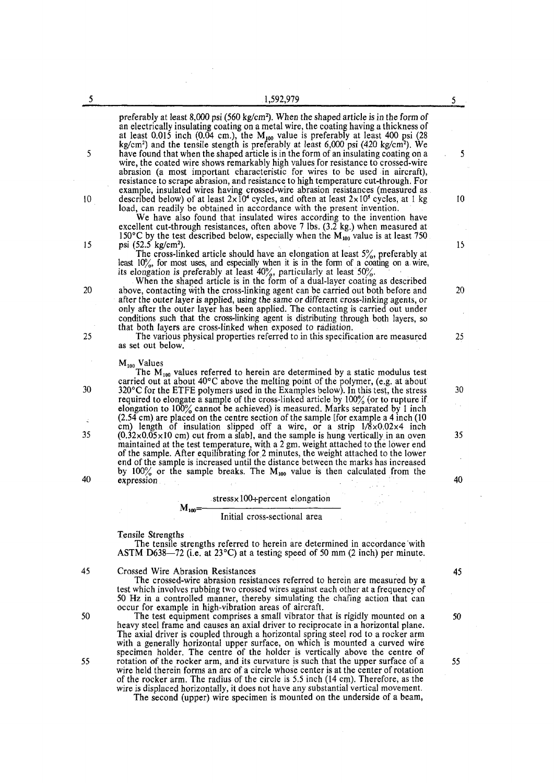| 5               | 1,592,979                                                                                                                                                                                                                                                                                                                                                                                                                              |    |
|-----------------|----------------------------------------------------------------------------------------------------------------------------------------------------------------------------------------------------------------------------------------------------------------------------------------------------------------------------------------------------------------------------------------------------------------------------------------|----|
|                 |                                                                                                                                                                                                                                                                                                                                                                                                                                        | 5. |
|                 | preferably at least 8,000 psi (560 kg/cm <sup>2</sup> ). When the shaped article is in the form of<br>an electrically insulating coating on a metal wire, the coating having a thickness of<br>at least 0.015 inch (0.04 cm.), the $M_{100}$ value is preferably at least 400 psi (28                                                                                                                                                  |    |
| 5               | kg/cm <sup>2</sup> ) and the tensile stength is preferably at least $6,000$ psi $(420 \text{ kg/cm}^2)$ . We<br>have found that when the shaped article is in the form of an insulating coating on a<br>wire, the coated wire shows remarkably high values for resistance to crossed-wire                                                                                                                                              | 5  |
|                 | abrasion (a most important characteristic for wires to be used in aircraft),<br>resistance to scrape abrasion, and resistance to high temperature cut-through. For<br>example, insulated wires having crossed-wire abrasion resistances (measured as                                                                                                                                                                                   |    |
| 10 <sup>°</sup> | described below) of at least $2 \times 10^4$ cycles, and often at least $2 \times 10^5$ cycles, at 1 kg<br>load, can readily be obtained in accordance with the present invention.<br>We have also found that insulated wires according to the invention have                                                                                                                                                                          | 10 |
| 15              | excellent cut-through resistances, often above 7 lbs. (3.2 kg.) when measured at<br>150°C by the test described below, especially when the $M_{100}$ value is at least 750.<br>psi (52.5 kg/cm <sup>2</sup> ).                                                                                                                                                                                                                         | 15 |
|                 | The cross-linked article should have an elongation at least $5\%$ , preferably at<br>least 10%, for most uses, and especially when it is in the form of a coating on a wire, its elongation is preferably at least $40\%$ , particularly at least 50%.                                                                                                                                                                                 |    |
| 20              | When the shaped article is in the form of a dual-layer coating as described<br>above, contacting with the cross-linking agent can be carried out both before and<br>after the outer layer is applied, using the same or different cross-linking agents, or<br>only after the outer layer has been applied. The contacting is carried out under<br>conditions such that the cross-linking agent is distributing through both layers, so | 20 |
| 25              | that both layers are cross-linked when exposed to radiation.<br>The various physical properties referred to in this specification are measured<br>as set out below.                                                                                                                                                                                                                                                                    | 25 |
|                 | $M_{100}$ Values<br>The $M_{100}$ values referred to herein are determined by a static modulus test                                                                                                                                                                                                                                                                                                                                    |    |
| 30              | carried out at about $40^{\circ}$ C above the melting point of the polymer, (e.g. at about<br>$320^{\circ}$ C for the ETFE polymers used in the Examples below). In this test, the stress<br>required to elongate a sample of the cross-linked article by $100\%$ (or to rupture if                                                                                                                                                    | 30 |
|                 | elongation to $100\%$ cannot be achieved) is measured. Marks separated by 1 inch<br>(2.54 cm) are placed on the centre section of the sample [for example a 4 inch (10)<br>cm) length of insulation slipped off a wire, or a strip $1/8 \times 0.02 \times 4$ inch                                                                                                                                                                     |    |
| 35              | $(0.32 \times 0.05 \times 10$ cm) cut from a slab], and the sample is hung vertically in an oven<br>maintained at the test temperature, with a 2 gm. weight attached to the lower end<br>of the sample. After equilibrating for 2 minutes, the weight attached to the lower                                                                                                                                                            | 35 |
| 40              | end of the sample is increased until the distance between the marks has increased<br>by 100% or the sample breaks. The $M_{100}$ value is then calculated from the<br>expression                                                                                                                                                                                                                                                       | 40 |
|                 | $stress \times 100 + percent elongation$                                                                                                                                                                                                                                                                                                                                                                                               |    |
|                 | $M_{100}$ = $-$<br>Initial cross-sectional area                                                                                                                                                                                                                                                                                                                                                                                        |    |
|                 | Tensile Strengths<br>The tensile strengths referred to herein are determined in accordance with<br>ASTM D638-72 (i.e. at 23 <sup>o</sup> C) at a testing speed of 50 mm (2 inch) per minute.                                                                                                                                                                                                                                           |    |
| 45              | Crossed Wire Abrasion Resistances<br>The crossed-wire abrasion resistances referred to herein are measured by a                                                                                                                                                                                                                                                                                                                        | 45 |
|                 | test which involves rubbing two crossed wires against each other at a frequency of<br>50 Hz in a controlled manner, thereby simulating the chafing action that can<br>occur for example in high-vibration areas of aircraft.                                                                                                                                                                                                           |    |
| 50              | The test equipment comprises a small vibrator that is rigidly mounted on a<br>heavy steel frame and causes an axial driver to reciprocate in a horizontal plane.<br>The axial driver is coupled through a horizontal spring steel rod to a rocker arm<br>with a generally horizontal upper surface, on which is mounted a curved wire                                                                                                  | 50 |
| 55              | specimen holder. The centre of the holder is vertically above the centre of<br>rotation of the rocker arm, and its curvature is such that the upper surface of a<br>wire held therein forms an arc of a circle whose center is at the center of rotation<br>of the rocker arm. The radius of the circle is 5.5 inch (14 cm). Therefore, as the<br>wire is displaced horizontally, it does not have any substantial vertical movement.  | 55 |

 $\bar{\alpha}$ 

The second (upper) wire specimen is mounted on the underside of a beam,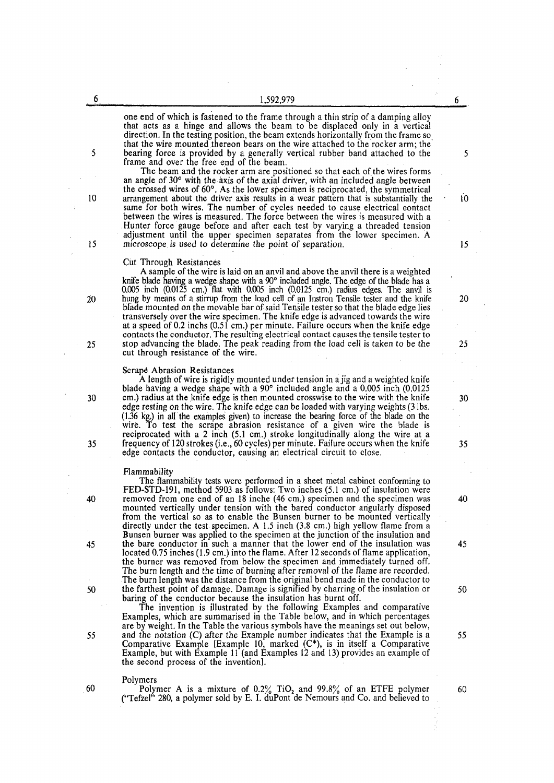one end of which is fastened to the frame through a thin strip of a damping alloy that acts as a hinge and allows the beam to be displaced only in a vertical direction. In the testing position, the beam extends horizontally from the frame so that the wire mounted thereon bears on the wire attached to the rocker arm; the 5 bearing force is provided by a generally vertical rubber band attached to the 5 frame and over the free end of the beam.

The beam and the rocker arm are positioned so that each of the wires forms an angle of 30° with the axis of the axial driver, with an included angle between the crossed wires of 60°. As the lower specimen is reciprocated, the symmetrical 10 arrangement about the driver axis results in a wear pattern that is substantially the 10 same for both wires. The number of cycles needed to cause electrical contact between the wires is measured. The force between the wires is measured with a Hunter force gauge before and after each test by varying a threaded tension adjustment until the upper specimen separates from the lower specimen. A 15 microscope.is used to determine the point of separation. 15

### Cut Through Resistances

A sample of the wire is laid on an anvil and above the anvil there is a weighted knife blade having a wedge shape with a 90° included angle. The edge of the blade has a 0.005 inch (0.0125 cm.) flat with 0.005 inch (0.0125 cm.) radius edges. The anvil is 20 hung by means of a stirrup from the load cell of an Instron Tensile tester and the knife 20 blade mounted on the movable bar of said Tensile tester so that the blade edge lies transversely over the wire specimen. The knife edge is advanced towards the wire at a speed of 0.2 inchs (0.51 cm.) per minute. Failure occurs when the knife edge contacts the conductor. The resulting electrical contact causes the tensile tester to 25 stop advancing the blade. The peak reading from the load cell is taken to be the 25 cut through resistance of the wire.

## Scrapd Abrasion Resistances

A length of wire is rigidly mounted under tension in a jig and a weighted knife blade having a wedge shape with a 90° included angle and a 0.005 inch (0.0125 30 cm.) radius at the knife edge is then mounted crosswise to the wire with the knife 30 edge resting on the wire. The knife edge can be loaded with varying weights (3 lbs. (1.36 kg.) in all the examples given) to increase the bearing force of the blade on the wire. To test the scrape abrasion resistance of a given wire the blade is reciprocated with a 2 inch (5.1 cm.) stroke longitudinally along the wire at a 35 frequency of 120 strokes (i.e., 60 cycles) per minute. Failure occurs when the knife 35 edge contacts the conductor, causing an electrical circuit to close.

#### Flammability

The flammability tests were performed in a sheet metal cabinet conforming to FED-STD-191, method 5903 as follows: Two inches (5.1 cm.) of insulation were 40 removed from one end of an 18 inche (46 cm.) specimen and the specimen was 40 mounted vertically under tension with the bared conductor angularly disposed from the vertical so as to enable the Bunsen burner to be mounted vertically directly under the test specimen. A 1.5 inch (3.8 cm.) high yellow flame from a Bunsen burner was applied to the specimen at the junction of the insulation and 45 the bare conductor in such a manner that the lower end of the insulation was 45 located 0.75 inches (1.9 cm.) into the flame. After 12 seconds of flame application, the burner was removed from below the specimen and immediately turned off. The burn length and the time of burning after removal of the flame are recorded. The burn length was the distance from the original bend made in the conductor to 50 the farthest point of damage. Damage is signified by charring of the insulation or 50 baring of the conductor because the insulation has burnt off.

The invention is illustrated by the following Examples and comparative Examples, which are summarised in the Table below, and in which percentages are by weight. In the Table the various symbols have the meanings set out below, 55 and the notation (C) after the Example number indicates that the Example is a 55 Comparative Example [Example 10, marked (C\*), is in itself a Comparative Example, but with Example 11 (and Examples 12 and 13) provides an example of the second process of the invention].

#### Polymers

60 Polymer A is a mixture of  $0.2\%$  TiO<sub>2</sub> and 99.8% of an ETFE polymer 60 ("Tefzel" 280, a polymer sold by E. I. duPont de Nemours and  $Co$  and believed to

6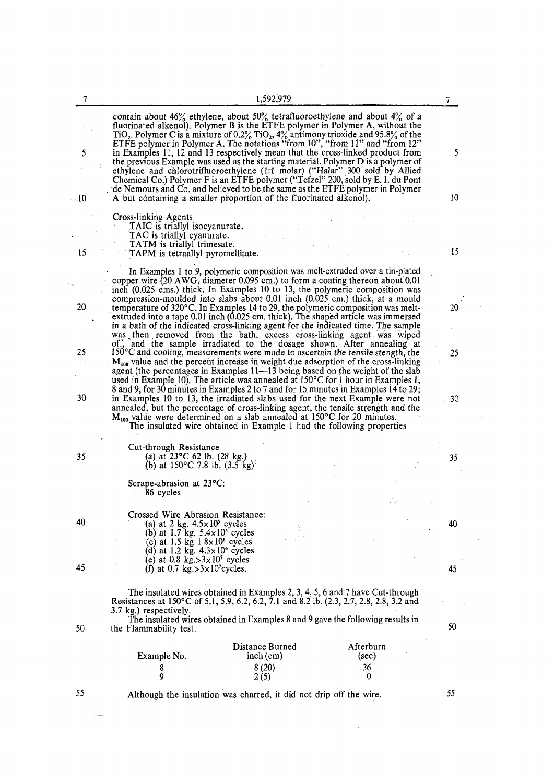| 7               |                                                                                                                              | 1,592,979                                                                                                                                                                                                                                                                                                                                                                                                               |                          |    |
|-----------------|------------------------------------------------------------------------------------------------------------------------------|-------------------------------------------------------------------------------------------------------------------------------------------------------------------------------------------------------------------------------------------------------------------------------------------------------------------------------------------------------------------------------------------------------------------------|--------------------------|----|
|                 |                                                                                                                              | contain about $46\%$ ethylene, about $50\%$ tetrafluoroethylene and about $4\%$ of a<br>fluorinated alkenol). Polymer B is the ETFE polymer in Polymer A, without the<br>TiO <sub>2</sub> . Polymer C is a mixture of 0.2% TiO <sub>2</sub> , $4\frac{9}{6}$ antimony trioxide and 95.8% of the<br>ETFE polymer in Polymer A. The notations "from 10", "from 11" and "from 12"                                          |                          |    |
| $\cdot$ 5       |                                                                                                                              | in Examples 11, 12 and 13 respectively mean that the cross-linked product from<br>the previous Example was used as the starting material. Polymer D is a polymer of<br>ethylene and chlorotrifluoroethylene (1:1 molar) ("Halar" 300 sold by Allied<br>Chemical Co.) Polymer F is an ETFE polymer ("Tefzel" 200, sold by E. I. du Pont<br>de Nemours and Co. and believed to be the same as the ETFE polymer in Polymer |                          | 5  |
| $-10$           |                                                                                                                              | A but containing a smaller proportion of the fluorinated alkenol).                                                                                                                                                                                                                                                                                                                                                      |                          | 10 |
|                 | Cross-linking Agents<br>TAIC is triallyl isocyanurate.<br>TAC is triallyl cyanurate.<br>TATM is triallyl trimesate.          |                                                                                                                                                                                                                                                                                                                                                                                                                         |                          | 15 |
| 15 <sub>1</sub> | <b>TAPM</b> is tetraallyl pyromellitate.                                                                                     |                                                                                                                                                                                                                                                                                                                                                                                                                         |                          |    |
| 20              |                                                                                                                              | In Examples 1 to 9, polymeric composition was melt-extruded over a tin-plated<br>copper wire (20 AWG, diameter 0.095 cm.) to form a coating thereon about 0.01<br>inch (0.025 cms.) thick. In Examples 10 to 13, the polymeric composition was<br>compression-moulded into slabs about 0.01 inch (0.025 cm.) thick, at a mould                                                                                          |                          |    |
|                 |                                                                                                                              | temperature of $320^{\circ}$ C. In Examples 14 to 29, the polymeric composition was melt-<br>extruded into a tape 0.01 inch (0.025 cm, thick). The shaped article was immersed<br>in a bath of the indicated cross-linking agent for the indicated time. The sample<br>was then removed from the bath, excess cross-linking agent was wiped                                                                             |                          | 20 |
| 25              |                                                                                                                              | off, and the sample irradiated to the dosage shown. After annealing at<br>$150^{\circ}$ C and cooling, measurements were made to ascertain the tensile stength, the<br>$M_{100}$ value and the percent increase in weight due adsorption of the cross-linking<br>agent (the percentages in Examples 11-13 being based on the weight of the slab                                                                         |                          | 25 |
| 30              |                                                                                                                              | used in Example 10). The article was annealed at $150^{\circ}$ C for 1 hour in Examples 1,<br>8 and 9, for 30 minutes in Examples 2 to 7 and for 15 minutes in Examples 14 to 29;<br>in Examples 10 to 13, the irradiated slabs used for the next Example were not<br>annealed, but the percentage of cross-linking agent, the tensile strength and the                                                                 |                          | 30 |
|                 |                                                                                                                              | $M_{100}$ value were determined on a slab annealed at 150°C for 20 minutes.<br>The insulated wire obtained in Example 1 had the following properties                                                                                                                                                                                                                                                                    |                          |    |
| 35              | Cut-through Resistance<br>(a) at $23^{\circ}$ C 62 lb. (28 kg.)<br>(b) at $150^{\circ}$ C 7.8 lb. $(3.5 \text{ kg})^{\circ}$ |                                                                                                                                                                                                                                                                                                                                                                                                                         |                          | 35 |
|                 | Scrape-abrasion at 23°C:<br>86 cycles                                                                                        |                                                                                                                                                                                                                                                                                                                                                                                                                         |                          |    |
|                 |                                                                                                                              |                                                                                                                                                                                                                                                                                                                                                                                                                         |                          |    |
| 40              | Crossed Wire Abrasion Resistance:<br>(a) at 2 kg. $4.5 \times 10^5$ cycles<br>(b) at 1.7 kg. $5.4 \times 10^5$ cycles        |                                                                                                                                                                                                                                                                                                                                                                                                                         |                          | 40 |
|                 | (c) at 1.5 kg $1.8 \times 10^6$ cycles<br>(d) at 1.2 kg. $4.3 \times 10^6$ cycles                                            |                                                                                                                                                                                                                                                                                                                                                                                                                         |                          |    |
| 45              | (e) at 0.8 kg.> $3 \times 10^7$ cycles<br>(f) at 0.7 kg. > $3 \times 10^{7}$ cycles.                                         |                                                                                                                                                                                                                                                                                                                                                                                                                         |                          | 45 |
|                 | 3.7 kg.) respectively.                                                                                                       | The insulated wires obtained in Examples 2, 3, 4, 5, 6 and 7 have Cut-through<br>Resistances at 150°C of 5.1, 5.9, 6.2, 6.2, 7.1 and 8.2 lb. (2.3, 2.7, 2.8, 2.8, 3.2 and                                                                                                                                                                                                                                               |                          |    |
| 50              | the Flammability test.                                                                                                       | The insulated wires obtained in Examples 8 and 9 gave the following results in                                                                                                                                                                                                                                                                                                                                          |                          | 50 |
|                 | Example No.                                                                                                                  | Distance Burned<br>$inch$ (cm)<br>8(20)                                                                                                                                                                                                                                                                                                                                                                                 | Afterburn<br>(sec)<br>36 |    |
|                 | 8<br>9                                                                                                                       | 2(5)                                                                                                                                                                                                                                                                                                                                                                                                                    | 0                        |    |
| 55              |                                                                                                                              | Although the insulation was charred, it did not drip off the wire.                                                                                                                                                                                                                                                                                                                                                      |                          | 55 |

 $\label{eq:2.1} \mathcal{L}(\mathcal{L}^{\text{max}}_{\mathcal{L}}(\mathcal{L}^{\text{max}}_{\mathcal{L}}(\mathcal{L}^{\text{max}}_{\mathcal{L}}(\mathcal{L}^{\text{max}}_{\mathcal{L}^{\text{max}}_{\mathcal{L}}(\mathcal{L}^{\text{max}}_{\mathcal{L}^{\text{max}}_{\mathcal{L}^{\text{max}}_{\mathcal{L}^{\text{max}}_{\mathcal{L}^{\text{max}}_{\mathcal{L}^{\text{max}}_{\mathcal{L}^{\text{max}}_{\mathcal{L}^{\text{max}}_{\mathcal{L}^{\text{max}}$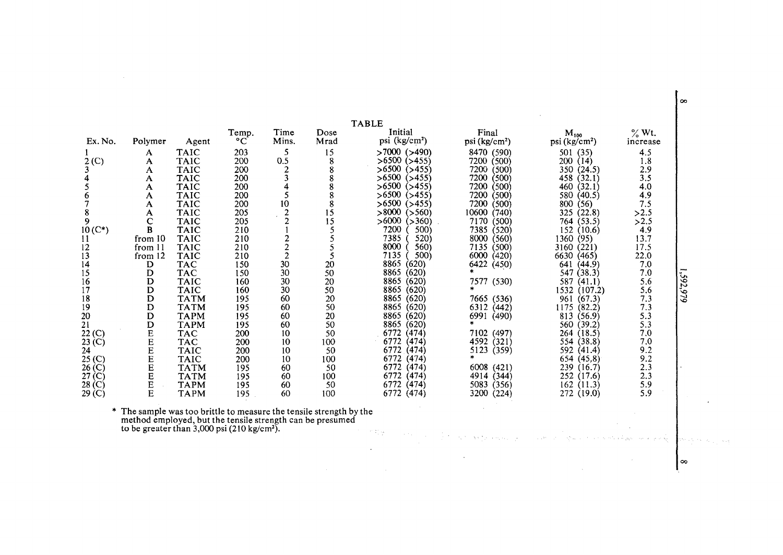|                   |         |             | Temp. | Time  | Dose | IABLE<br>Initial          | Final                     | $M_{100}$                | $\%$ Wt. |
|-------------------|---------|-------------|-------|-------|------|---------------------------|---------------------------|--------------------------|----------|
| Ex. No.           | Polymer | Agent       | °C    | Mins. | Mrad | psi (kg/cm <sup>2</sup> ) | psi (kg/cm <sup>2</sup> ) | psi(kg/cm <sup>2</sup> ) | increase |
|                   | A       | TAIC        | 203   | 5     | 15   | $>7000$ ( $>490$ )        | 8470 (590)                | (35)<br>501              | 4.5      |
| 2 <sub>(C)</sub>  | A       | <b>TAIC</b> | 200   | 0.5   | 8    | $>6500$ ( $>455$ )        | (500)<br>7200             | (14)<br>200              | 1.8      |
|                   | A       | <b>TAIC</b> | 200   |       |      | $>6500$ ( $>455$ )        | 7200<br>(500)             | 350 (24.5)               | 2.9      |
|                   | А       | TAIC        | 200   |       |      | >6500<br>$($ >455)        | 7200<br>(500)             | 458<br>(32.1)            | 3.5      |
|                   | A       | TAIC        | 200   |       |      | >6500<br>$($ >455)        | 7200<br>(500)             | 460<br>(32.1)            | 4.0      |
|                   | A       | <b>TAIC</b> | 200   |       |      | >6500<br>(>455)           | 7200<br>(500)             | 580<br>(40.5)            | 4.9      |
|                   | A       | TAIC        | 200   | 10    |      | >6500<br>(>455)           | 7200<br>(500)             | 800<br>(56)              | 7.5      |
| 8                 | А       | TAIC        | 205   |       | 15   | > 8000<br>(>560)          | 10600<br>(740)            | (22.8)<br>325            | >2.5     |
| 9                 | с       | <b>TAIC</b> | 205   |       | 15   | >6000<br>(>360)           | 7170<br>(500)             | (53.5)<br>764            | >2.5     |
| $10 (C^*)$        | B       | <b>TAIC</b> | 210   |       |      | 7200<br>500)              | 7385<br>(520)             | (10.6)<br>152            | 4.9      |
|                   | from 10 | <b>TAIC</b> | 210   |       |      | 7385<br>520)              | 8000<br>(560)             | 1360<br>(95)             | 13.7     |
| 12                | from 11 | <b>TAIC</b> | 210   |       |      | 8000<br>560)              | 7135<br>(500)             | (221)<br>3160            | 17.5     |
|                   | from 12 | <b>TAIC</b> | 210   |       |      | 7135<br>500)              | 6000<br>(420)             | 6630<br>(465)            | 22.0     |
| 14                | D       | TAC         | 150   | 30    | 20   | 8865<br>(620)             | 6422<br>(450)             | (44.9)<br>641            | 7.0      |
| 15                | D       | TAC         | 150   | 30    | 50   | 8865<br>(620)             |                           | (38.3)<br>547            | 7.0      |
| 16                | D       | TAIC        | 160   | 30    | 20   | 8865<br>(620)             | 7577 (530)                | (41.1)<br>587            | 5.6      |
|                   | D       | <b>TAIC</b> | 160   | 30    | 50   | 8865<br>(620)             |                           | (107.2)<br>1532          | 5.6      |
| 18                | D       | <b>TATM</b> | 195   | 60    | 20   | (620)<br>8865             | 7665<br>(536)             | (67.3)<br>961            | 7.3      |
| 19                | D       | <b>TATM</b> | 195   | 60    | 50   | 8865<br>(620)             | 6312<br>(442)             | (82.2)<br>1175           | 7.3      |
| 20                | D       | <b>TAPM</b> | 195   | 60    | 20   | 8865<br>(620)             | 6991<br>(490)             | (56.9)<br>813            | 5.3      |
| 21                | D       | <b>TAPM</b> | 195   | 60    | 50   | 8865<br>(620)             |                           | (39.2)<br>560            | 5.3      |
| 22 (C)            | E       | TAC         | 200   | 10    | 50   | 6772<br>(474)             | 7102<br>(497)             | (18.5)<br>264            | 7.0      |
| 23 (C)            | E       | TAC         | 200   | 10    | 100  | 6772<br>(474)             | 4592<br>(321)             | (38.8)<br>554            | 7.0      |
| 24                | E       | <b>TAIC</b> | 200   | 10    | 50   | (474)<br>6772             | 5123<br>(359)             | 592<br>(41.4)            | 9.2      |
| 25 <sub>(C)</sub> | E       | <b>TAIC</b> | 200   | 10    | 100  | (474)<br>6772             |                           | (45.8)<br>654            | 9.2      |
| 26 (C)            | E       | <b>TATM</b> | 195   | 60    | 50   | (474)<br>6772             | 6008<br>(421)             | 239<br>(16.7)            | 2.3      |
| $27($ C)          | E       | <b>TATM</b> | 195   | 60    | 100  | (474)<br>6772             | 4914<br>(344)             | (17.6)<br>252            | 2.3      |
| 28 (C)            | E       | <b>TAPM</b> | 195   | 60    | 50   | (474)<br>6772             | 5083<br>(356)             | (11.3)<br>162            | 5.9      |
| 29(C)             | E       | <b>TAPM</b> | 195   | 60    | 100  | 6772 (474)                | 3200<br>(224)             | 272<br>(19.0)            | 5.9      |

 $T_{\rm{max}}$ 

\* The sample was too brittle to measure the tensile strength by the method employed, but the tensile strength can be presumed<br>to be greater than 3,000 psi (210 kg/cm²).  $\leq \frac{1}{2} \frac{1}{\sqrt{2}}$  1,592,979

special exception was

 $\sim$ 

ان<br>انها بر ابن بر ابن ا

 $\sim$ 

 $\sim 10$ 

 $\sim$ 

.<br>A tradición de formación de la construcción de la proposición de la construcción de la construcción de la cons

 $\sim 100$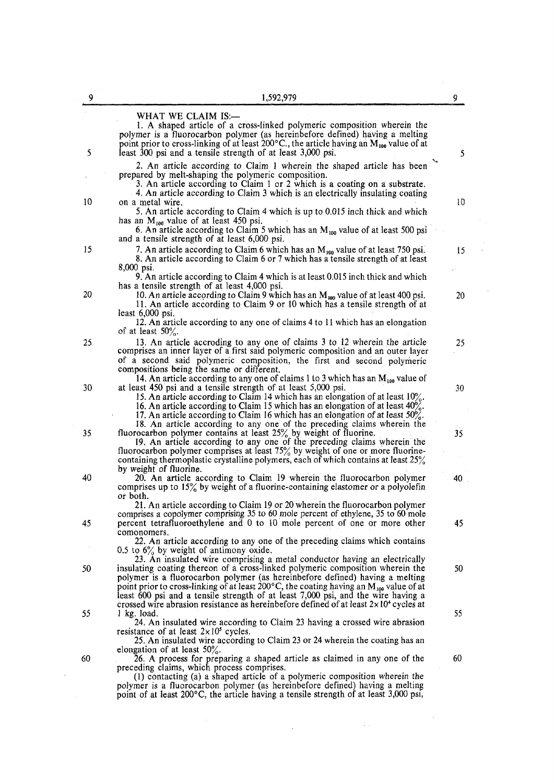| 9  | 1,592,979                                                                                                                                                                                                                                                                                                                                                                                                                                                                                                                                | 9  |
|----|------------------------------------------------------------------------------------------------------------------------------------------------------------------------------------------------------------------------------------------------------------------------------------------------------------------------------------------------------------------------------------------------------------------------------------------------------------------------------------------------------------------------------------------|----|
| 5  | WHAT WE CLAIM IS:-<br>1. A shaped article of a cross-linked polymeric composition wherein the<br>polymer is a fluorocarbon polymer (as hereinbefore defined) having a melting<br>point prior to cross-linking of at least 200 $\degree$ C., the article having an $M_{100}$ value of at<br>least 300 psi and a tensile strength of at least 3,000 psi.                                                                                                                                                                                   | 5  |
|    | 2. An article according to Claim 1 wherein the shaped article has been<br>prepared by melt-shaping the polymeric composition.<br>3. An article according to Claim 1 or 2 which is a coating on a substrate.<br>4. An article according to Claim 3 which is an electrically insulating coating                                                                                                                                                                                                                                            |    |
| 10 | on a metal wire.<br>5. An article according to Claim 4 which is up to 0.015 inch thick and which<br>has an $M_{100}$ value of at least 450 psi.<br>6. An article according to Claim 5 which has an $M_{100}$ value of at least 500 psi                                                                                                                                                                                                                                                                                                   | 10 |
| 15 | and a tensile strength of at least 6,000 psi.<br>7. An article according to Claim 6 which has an $M_{100}$ value of at least 750 psi.<br>8. An article according to Claim 6 or 7 which has a tensile strength of at least<br>8,000 psi.                                                                                                                                                                                                                                                                                                  | 15 |
| 20 | 9. An article according to Claim 4 which is at least 0.015 inch thick and which<br>has a tensile strength of at least 4,000 psi.<br>10. An article according to Claim 9 which has an $M_{100}$ value of at least 400 psi.<br>11. An article according to Claim 9 or 10 which has a tensile strength of at<br>least $6,000$ psi.<br>12. An article according to any one of claims 4 to 11 which has an elongation<br>of at least $50\%$ .                                                                                                 | 20 |
| 25 | 13. An article accroding to any one of claims 3 to 12 wherein the article<br>comprises an inner layer of a first said polymeric composition and an outer layer<br>of a second said polymeric composition, the first and second polymeric<br>compositions being the same or different.<br>14. An article according to any one of claims 1 to 3 which has an $M_{100}$ value of                                                                                                                                                            | 25 |
| 30 | at least 450 psi and a tensile strength of at least 5,000 psi.<br>15. An article according to Claim 14 which has an elongation of at least 10%.<br>16. An article according to Claim 15 which has an elongation of at least $40\%$ .<br>17. An article according to Claim 16 which has an elongation of at least $50\%$ .<br>18. An article according to any one of the preceding claims wherein the                                                                                                                                     | 30 |
| 35 | fluorocarbon polymer contains at least $25\%$ by weight of fluorine.<br>19. An article according to any one of the preceding claims wherein the<br>fluorocarbon polymer comprises at least $75\%$ by weight of one or more fluorine-<br>containing thermoplastic crystalline polymers, each of which contains at least 25%<br>by weight of fluorine.                                                                                                                                                                                     | 35 |
| 40 | 20. An article according to Claim 19 wherein the fluorocarbon polymer<br>comprises up to $15\%$ by weight of a fluorine-containing elastomer or a polyolefin<br>or both.<br>21. An article according to Claim 19 or 20 wherein the fluorocarbon polymer<br>comprises a copolymer comprising 35 to 60 mole percent of ethylene, 35 to 60 mole                                                                                                                                                                                             | 40 |
| 45 | percent tetrafluoroethylene and 0 to 10 mole percent of one or more other<br>comonomers.<br>22. An article according to any one of the preceding claims which contains<br>0.5 to $6\%$ by weight of antimony oxide.                                                                                                                                                                                                                                                                                                                      | 45 |
| 50 | 23. An insulated wire comprising a metal conductor having an electrically<br>insulating coating thereon of a cross-linked polymeric composition wherein the<br>polymer is a fluorocarbon polymer (as hereinbefore defined) having a melting<br>point prior to cross-linking of at least 200°C, the coating having an M <sub>100</sub> value of at<br>least 600 psi and a tensile strength of at least 7,000 psi, and the wire having a<br>crossed wire abrasion resistance as hereinbefore defined of at least $2 \times 10^4$ cycles at | 50 |
| 55 | $1$ kg. load.<br>24. An insulated wire according to Claim 23 having a crossed wire abrasion<br>resistance of at least $2 \times 10^5$ cycles.<br>25. An insulated wire according to Claim 23 or 24 wherein the coating has an                                                                                                                                                                                                                                                                                                            | 55 |
| 60 | elongation of at least $50\%$ .<br>26. A process for preparing a shaped article as claimed in any one of the<br>preceding claims, which process comprises.<br>(1) contacting (a) a shaped article of a polymeric composition wherein the<br>polymer is a fluorocarbon polymer (as hereinbefore defined) having a melting                                                                                                                                                                                                                 | 60 |
|    | point of at least 200°C, the article having a tensile strength of at least 3,000 psi,                                                                                                                                                                                                                                                                                                                                                                                                                                                    |    |

 $\mathcal{L}(\mathcal{L}(\mathcal{L}(\mathcal{L}(\mathcal{L}(\mathcal{L}(\mathcal{L}(\mathcal{L}(\mathcal{L}(\mathcal{L}(\mathcal{L}(\mathcal{L}(\mathcal{L}(\mathcal{L}(\mathcal{L}(\mathcal{L}(\mathcal{L}(\mathcal{L}(\mathcal{L}(\mathcal{L}(\mathcal{L}(\mathcal{L}(\mathcal{L}(\mathcal{L}(\mathcal{L}(\mathcal{L}(\mathcal{L}(\mathcal{L}(\mathcal{L}(\mathcal{L}(\mathcal{L}(\mathcal{L}(\mathcal{L}(\mathcal{L}(\mathcal{L}(\mathcal{L}(\mathcal{$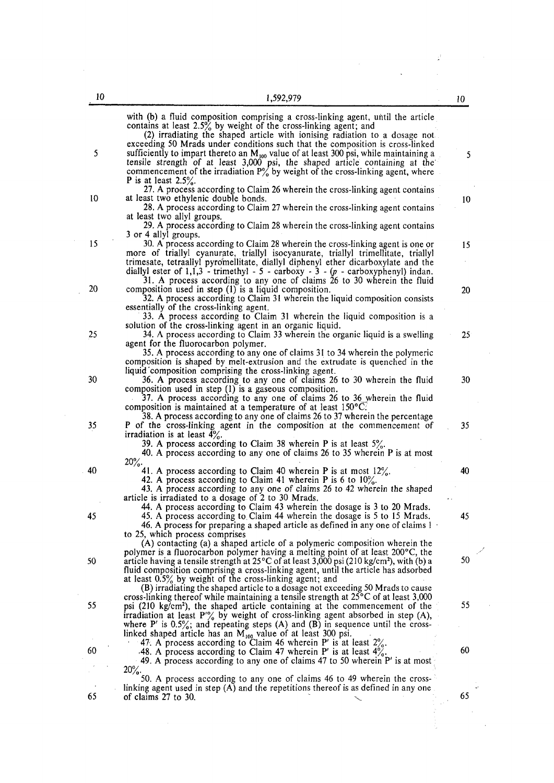|    | with (b) a fluid composition comprising a cross-linking agent, until the article<br>contains at least $2.5\%$ by weight of the cross-linking agent; and<br>(2) irradiating the shaped article with ionising radiation to a dosage not                                                                                                                                            |              |
|----|----------------------------------------------------------------------------------------------------------------------------------------------------------------------------------------------------------------------------------------------------------------------------------------------------------------------------------------------------------------------------------|--------------|
| 5  | exceeding 50 Mrads under conditions such that the composition is cross-linked<br>sufficiently to impart thereto an $M_{100}$ value of at least 300 psi, while maintaining a<br>tensile strength of at least 3,000 psi, the shaped article containing at the commencement of the irradiation $P'_{\alpha}$ by weight of the cross-linking agent, where<br>P is at least $2.5\%$ . | 5            |
|    | 27. A process according to Claim 26 wherein the cross-linking agent contains                                                                                                                                                                                                                                                                                                     |              |
| 10 | at least two ethylenic double bonds.<br>28. A process according to Claim 27 wherein the cross-linking agent contains                                                                                                                                                                                                                                                             | 10           |
|    | at least two allyl groups.                                                                                                                                                                                                                                                                                                                                                       |              |
|    | 29. A process according to Claim 28 wherein the cross-linking agent contains                                                                                                                                                                                                                                                                                                     |              |
| 15 | 3 or 4 allyl groups.<br>30. A process according to Claim 28 wherein the cross-linking agent is one or                                                                                                                                                                                                                                                                            |              |
|    | more of triallyl cyanurate, triallyl isocyanurate, triallyl trimellitate, triallyl<br>trimesate, tetraallyl pyromellitate, diallyl diphenyl ether dicarboxylate and the<br>diallyl ester of $1,1,3$ - trimethyl - 5 - carboxy - 3 - $(p$ - carboxyphenyl) indan.                                                                                                                 | 15           |
|    | 31. A process according to any one of claims 26 to 30 wherein the fluid                                                                                                                                                                                                                                                                                                          |              |
| 20 | composition used in step (1) is a liquid composition.<br>32. A process according to Claim 31 wherein the liquid composition consists                                                                                                                                                                                                                                             | 20           |
|    | essentially of the cross-linking agent.                                                                                                                                                                                                                                                                                                                                          |              |
|    | 33. A process according to Claim 31 wherein the liquid composition is a                                                                                                                                                                                                                                                                                                          |              |
|    | solution of the cross-linking agent in an organic liquid.                                                                                                                                                                                                                                                                                                                        |              |
| 25 | 34. A process according to Claim 33 wherein the organic liquid is a swelling                                                                                                                                                                                                                                                                                                     | $25^{\circ}$ |
|    | agent for the fluorocarbon polymer.<br>35. A process according to any one of claims 31 to 34 wherein the polymeric                                                                                                                                                                                                                                                               |              |
|    | composition is shaped by melt-extrusion and the extrudate is quenched in the                                                                                                                                                                                                                                                                                                     |              |
|    | liquid composition comprising the cross-linking agent.                                                                                                                                                                                                                                                                                                                           |              |
| 30 | 36. A process according to any one of claims 26 to 30 wherein the fluid                                                                                                                                                                                                                                                                                                          | 30           |
|    | composition used in step (1) is a gaseous composition.<br>37. A process according to any one of claims 26 to 36 wherein the fluid                                                                                                                                                                                                                                                |              |
|    | composition is maintained at a temperature of at least $150^{\circ}$ C.                                                                                                                                                                                                                                                                                                          |              |
|    | 38. A process according to any one of claims 26 to 37 wherein the percentage                                                                                                                                                                                                                                                                                                     |              |
| 35 | P of the cross-linking agent in the composition at the commencement of                                                                                                                                                                                                                                                                                                           | 35           |
|    | irradiation is at least $4\%$ .                                                                                                                                                                                                                                                                                                                                                  |              |
|    | 39. A process according to Claim 38 wherein P is at least $5\%$ .<br>40. A process according to any one of claims 26 to 35 wherein P is at most                                                                                                                                                                                                                                  |              |
|    | $20\%$ .                                                                                                                                                                                                                                                                                                                                                                         |              |
| 40 | 41. A process according to Claim 40 wherein P is at most $12\%$ .                                                                                                                                                                                                                                                                                                                | 40           |
|    | 42. A process according to Claim 41 wherein P is 6 to $10\%$ .                                                                                                                                                                                                                                                                                                                   |              |
|    | 43. A process according to any one of claims 26 to 42 wherein the shaped                                                                                                                                                                                                                                                                                                         |              |
|    | article is irradiated to a dosage of 2 to 30 Mrads.<br>44. A process according to Claim 43 wherein the dosage is 3 to 20 Mrads.                                                                                                                                                                                                                                                  |              |
| 45 | 45. A process according to Claim 44 wherein the dosage is 5 to 15 Mrads.                                                                                                                                                                                                                                                                                                         | 45           |
|    | 46. A process for preparing a shaped article as defined in any one of claims 1                                                                                                                                                                                                                                                                                                   |              |
|    | to 25, which process comprises                                                                                                                                                                                                                                                                                                                                                   |              |
|    | (A) contacting (a) a shaped article of a polymeric composition wherein the                                                                                                                                                                                                                                                                                                       |              |
| 50 | polymer is a fluorocarbon polymer having a melting point of at least 200°C, the<br>article having a tensile strength at $25^{\circ}$ C of at least 3,000 psi (210 kg/cm <sup>2</sup> ), with (b) a                                                                                                                                                                               | 50           |
|    | fluid composition comprising a cross-linking agent, until the article has adsorbed                                                                                                                                                                                                                                                                                               |              |
|    | at least $0.5\%$ by weight of the cross-linking agent; and                                                                                                                                                                                                                                                                                                                       |              |
|    | (R) irradiating the shaped article to a dosage not exceeding 50 Mrads to cause                                                                                                                                                                                                                                                                                                   |              |

at least  $0.5\%$  by weight of the cross-linear cross-(B) irradiating the shaped article to a dosage not exceeding 50 Mrads to cause cross-linking thereof while maintaining a tensile strength at 25°C of at least 3,000 55 psi (210 kg/cm<sup>2</sup>), the shaped article containing at the commencement of the 55 irradiation at least  $P\%$  by weight of cross-linking agent absorbed in step (A), where P' is  $0.5\%$ ; and repeating steps (A) and (B) in sequence until the crosslinked shaped article has an  $M_{100}$  value of at least 300 psi. 47. A process according to Claim 46 wherein P' is at least  $2\%$ .

 $60 \qquad 48.$  A process according to Claim 47 wherein P' is at least  $4\%$ .  $60 \qquad 60$ 49. A process according to any one of claims 47 to 50 wherein P' is at most  $20\%$ .

50. A process according to any one of claims 46 to 49 wherein the crosslinking agent used in step (A) and the repetitions thereof is as defined in any one  $65$  of claims 27 to 30.  $65$ 

j.

÷.